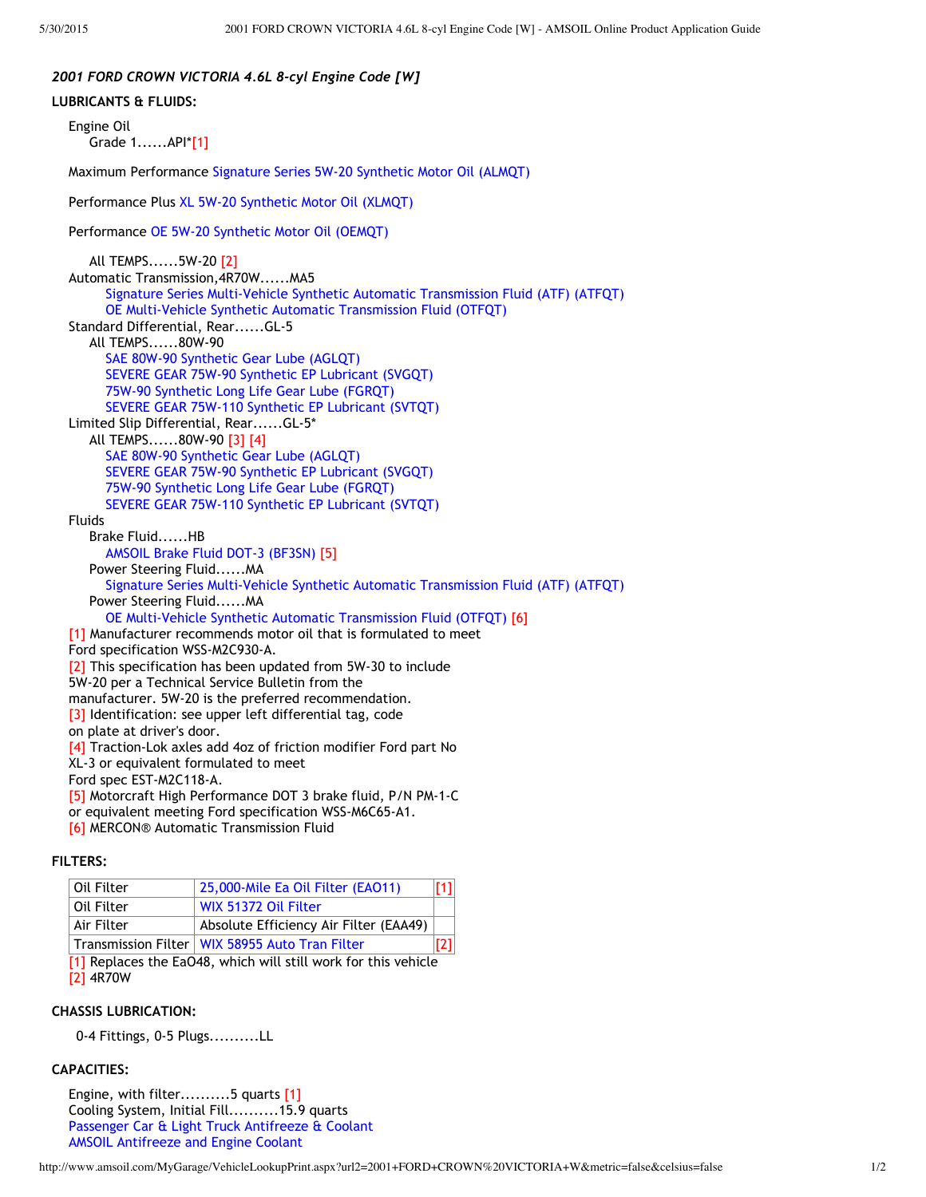## *2001 FORD CROWN VICTORIA 4.6L 8‐cyl Engine Code [W]*

**LUBRICANTS & FLUIDS:** Engine Oil Grade 1......API\*[1] Maximum Performance [Signature](http://www.amsoil.com/catalog.aspx?code=ALMQT-EA) Series 5W‐20 Synthetic Motor Oil (ALMQT) Performance Plus XL 5W‐20 [Synthetic](http://www.amsoil.com/catalog.aspx?code=XLMQT-EA) Motor Oil (XLMQT) Performance OE 5W‐20 [Synthetic](http://www.amsoil.com/catalog.aspx?code=OEMQT-EA) Motor Oil (OEMQT) All TEMPS......5W‐20 [2] Automatic Transmission,4R70W......MA5 Signature Series [Multi‐Vehicle](http://www.amsoil.com/catalog.aspx?code=ATFQT-EA) Synthetic Automatic Transmission Fluid (ATF) (ATFQT) OE [Multi‐Vehicle](http://www.amsoil.com/catalog.aspx?code=OTFQT-EA) Synthetic Automatic Transmission Fluid (OTFQT) Standard Differential, Rear......GL‐5 All TEMPS......80W‐90 SAE 80W‐90 [Synthetic](http://www.amsoil.com/catalog.aspx?code=AGLQT-EA) Gear Lube (AGLQT) SEVERE GEAR 75W‐90 Synthetic EP [Lubricant](http://www.amsoil.com/catalog.aspx?code=SVGQT-EA) (SVGQT) 75W‐90 [Synthetic](http://www.amsoil.com/catalog.aspx?code=FGRQT-EA) Long Life Gear Lube (FGRQT) SEVERE GEAR 75W‐110 Synthetic EP [Lubricant](http://www.amsoil.com/catalog.aspx?code=SVTQT-EA) (SVTQT) Limited Slip Differential, Rear......GL‐5\* All TEMPS......80W‐90 [3] [4] SAE 80W‐90 [Synthetic](http://www.amsoil.com/catalog.aspx?code=AGLQT-EA) Gear Lube (AGLQT) SEVERE GEAR 75W‐90 Synthetic EP [Lubricant](http://www.amsoil.com/catalog.aspx?code=SVGQT-EA) (SVGQT) 75W‐90 [Synthetic](http://www.amsoil.com/catalog.aspx?code=FGRQT-EA) Long Life Gear Lube (FGRQT) SEVERE GEAR 75W‐110 Synthetic EP [Lubricant](http://www.amsoil.com/catalog.aspx?code=SVTQT-EA) (SVTQT) Fluids Brake Fluid......HB AMSOIL Brake Fluid DOT‐3 [\(BF3SN\)](http://www.amsoil.com/catalog.aspx?code=BF3SN-EA) [5] Power Steering Fluid......MA Signature Series [Multi‐Vehicle](http://www.amsoil.com/catalog.aspx?code=ATFQT-EA) Synthetic Automatic Transmission Fluid (ATF) (ATFQT) Power Steering Fluid......MA OE [Multi‐Vehicle](http://www.amsoil.com/catalog.aspx?code=OTFQT-EA) Synthetic Automatic Transmission Fluid (OTFQT) [6] [1] Manufacturer recommends motor oil that is formulated to meet Ford specification WSS‐M2C930‐A. [2] This specification has been updated from 5W-30 to include 5W‐20 per a Technical Service Bulletin from the manufacturer. 5W‐20 is the preferred recommendation. [3] Identification: see upper left differential tag, code on plate at driver's door. [4] Traction-Lok axles add 4oz of friction modifier Ford part No XL‐3 or equivalent formulated to meet Ford spec EST‐M2C118‐A. [5] Motorcraft High Performance DOT 3 brake fluid, P/N PM‐1‐C or equivalent meeting Ford specification WSS‐M6C65‐A1. [6] MERCON® Automatic Transmission Fluid

# **FILTERS:**

| ⊦Oil Filter                                                    | 25,000-Mile Ea Oil Filter (EAO11)                | 11 |
|----------------------------------------------------------------|--------------------------------------------------|----|
| Oil Filter                                                     | WIX 51372 Oil Filter                             |    |
| Air Filter                                                     | Absolute Efficiency Air Filter (EAA49)           |    |
|                                                                | Transmission Filter   WIX 58955 Auto Tran Filter |    |
| [1] Replaces the EaO48, which will still work for this vehicle |                                                  |    |

[2] 4R70W

#### **CHASSIS LUBRICATION:**

0‐4 Fittings, 0‐5 Plugs..........LL

## **CAPACITIES:**

Engine, with filter..........5 quarts [1] Cooling System, Initial Fill..........15.9 quarts Passenger Car & Light Truck [Antifreeze](http://www.amsoil.com/catalog.aspx?code=ANTPC1G-EA) & Coolant AMSOIL [Antifreeze](http://www.amsoil.com/catalog.aspx?code=ANT1G-EA) and Engine Coolant